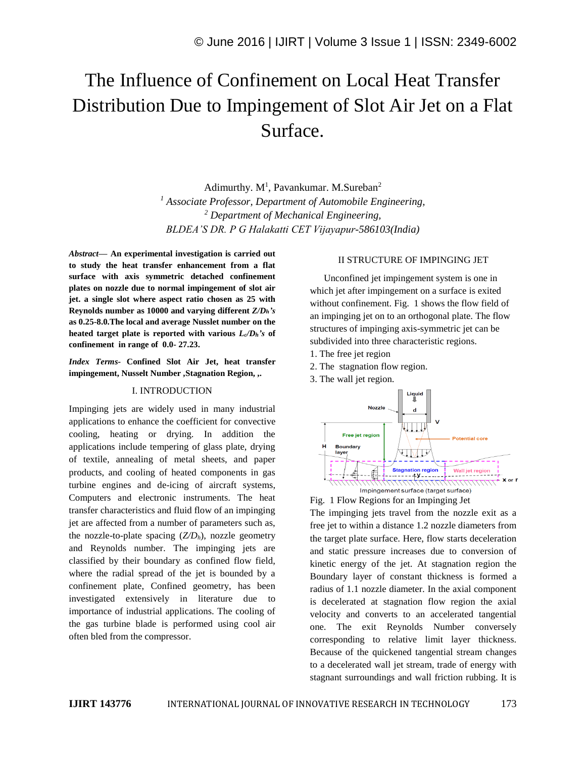# The Influence of Confinement on Local Heat Transfer Distribution Due to Impingement of Slot Air Jet on a Flat Surface.

Adimurthy.  $M<sup>1</sup>$ , Pavankumar. M.Sureban<sup>2</sup> *<sup>1</sup> Associate Professor, Department of Automobile Engineering, <sup>2</sup> Department of Mechanical Engineering, BLDEA'S DR. P G Halakatti CET Vijayapur-586103(India)*

*Abstract—* **An experimental investigation is carried out to study the heat transfer enhancement from a flat surface with axis symmetric detached confinement plates on nozzle due to normal impingement of slot air jet. a single slot where aspect ratio chosen as 25 with Reynolds number as 10000 and varying different** *Z/Dh's* **as 0.25-8.0.The local and average Nusslet number on the heated target plate is reported with various**  $L_c/D_h$ **'s of confinement in range of 0.0- 27.23.**

*Index Terms-* **Confined Slot Air Jet, heat transfer impingement, Nusselt Number ,Stagnation Region, ,.**

#### I. INTRODUCTION

Impinging jets are widely used in many industrial applications to enhance the coefficient for convective cooling, heating or drying. In addition the applications include tempering of glass plate, drying of textile, annealing of metal sheets, and paper products, and cooling of heated components in gas turbine engines and de-icing of aircraft systems, Computers and electronic instruments. The heat transfer characteristics and fluid flow of an impinging jet are affected from a number of parameters such as, the nozzle-to-plate spacing (*Z/Dh*), nozzle geometry and Reynolds number. The impinging jets are classified by their boundary as confined flow field, where the radial spread of the jet is bounded by a confinement plate, Confined geometry, has been investigated extensively in literature due to importance of industrial applications. The cooling of the gas turbine blade is performed using cool air often bled from the compressor.

#### II STRUCTURE OF IMPINGING JET

Unconfined jet impingement system is one in which jet after impingement on a surface is exited without confinement. Fig. 1 shows the flow field of an impinging jet on to an orthogonal plate. The flow structures of impinging axis-symmetric jet can be subdivided into three characteristic regions.

- 1. The free jet region
- 2. The stagnation flow region.
- 3. The wall jet region.





The impinging jets travel from the nozzle exit as a free jet to within a distance 1.2 nozzle diameters from the target plate surface. Here, flow starts deceleration and static pressure increases due to conversion of kinetic energy of the jet. At stagnation region the Boundary layer of constant thickness is formed a radius of 1.1 nozzle diameter. In the axial component is decelerated at stagnation flow region the axial velocity and converts to an accelerated tangential one. The exit Reynolds Number conversely corresponding to relative limit layer thickness. Because of the quickened tangential stream changes to a decelerated wall jet stream, trade of energy with stagnant surroundings and wall friction rubbing. It is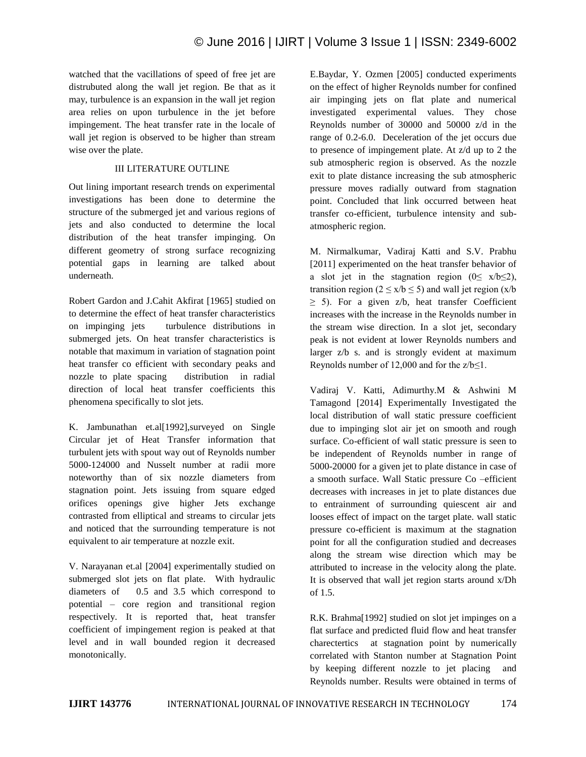watched that the vacillations of speed of free jet are distrubuted along the wall jet region. Be that as it may, turbulence is an expansion in the wall jet region area relies on upon turbulence in the jet before impingement. The heat transfer rate in the locale of wall jet region is observed to be higher than stream wise over the plate.

## III LITERATURE OUTLINE

Out lining important research trends on experimental investigations has been done to determine the structure of the submerged jet and various regions of jets and also conducted to determine the local distribution of the heat transfer impinging. On different geometry of strong surface recognizing potential gaps in learning are talked about underneath.

Robert Gardon and J.Cahit Akfirat [1965] studied on to determine the effect of heat transfer characteristics on impinging jets turbulence distributions in submerged jets. On heat transfer characteristics is notable that maximum in variation of stagnation point heat transfer co efficient with secondary peaks and nozzle to plate spacing distribution in radial direction of local heat transfer coefficients this phenomena specifically to slot jets.

K. Jambunathan et.al[1992], surveyed on Single Circular jet of Heat Transfer information that turbulent jets with spout way out of Reynolds number 5000-124000 and Nusselt number at radii more noteworthy than of six nozzle diameters from stagnation point. Jets issuing from square edged orifices openings give higher Jets exchange contrasted from elliptical and streams to circular jets and noticed that the surrounding temperature is not equivalent to air temperature at nozzle exit.

V. Narayanan et.al [2004] experimentally studied on submerged slot jets on flat plate. With hydraulic diameters of 0.5 and 3.5 which correspond to potential – core region and transitional region respectively. It is reported that, heat transfer coefficient of impingement region is peaked at that level and in wall bounded region it decreased monotonically.

E.Baydar, Y. Ozmen [2005] conducted experiments on the effect of higher Reynolds number for confined air impinging jets on flat plate and numerical investigated experimental values. They chose Reynolds number of 30000 and 50000 z/d in the range of 0.2-6.0. Deceleration of the jet occurs due to presence of impingement plate. At z/d up to 2 the sub atmospheric region is observed. As the nozzle exit to plate distance increasing the sub atmospheric pressure moves radially outward from stagnation point. Concluded that link occurred between heat transfer co-efficient, turbulence intensity and subatmospheric region.

M. Nirmalkumar, Vadiraj Katti and S.V. Prabhu [2011] experimented on the heat transfer behavior of a slot jet in the stagnation region  $(0 \le x/b \le 2)$ , transition region ( $2 \le x/b \le 5$ ) and wall jet region ( $x/b$  $\geq$  5). For a given z/b, heat transfer Coefficient increases with the increase in the Reynolds number in the stream wise direction. In a slot jet, secondary peak is not evident at lower Reynolds numbers and larger z/b s. and is strongly evident at maximum Reynolds number of 12,000 and for the  $z/b \le 1$ .

Vadiraj V. Katti, Adimurthy.M & Ashwini M Tamagond [2014] Experimentally Investigated the local distribution of wall static pressure coefficient due to impinging slot air jet on smooth and rough surface. Co-efficient of wall static pressure is seen to be independent of Reynolds number in range of 5000-20000 for a given jet to plate distance in case of a smooth surface. Wall Static pressure Co –efficient decreases with increases in jet to plate distances due to entrainment of surrounding quiescent air and looses effect of impact on the target plate. wall static pressure co-efficient is maximum at the stagnation point for all the configuration studied and decreases along the stream wise direction which may be attributed to increase in the velocity along the plate. It is observed that wall jet region starts around x/Dh of 1.5.

R.K. Brahma[1992] studied on slot jet impinges on a flat surface and predicted fluid flow and heat transfer charectertics at stagnation point by numerically correlated with Stanton number at Stagnation Point by keeping different nozzle to jet placing Reynolds number. Results were obtained in terms of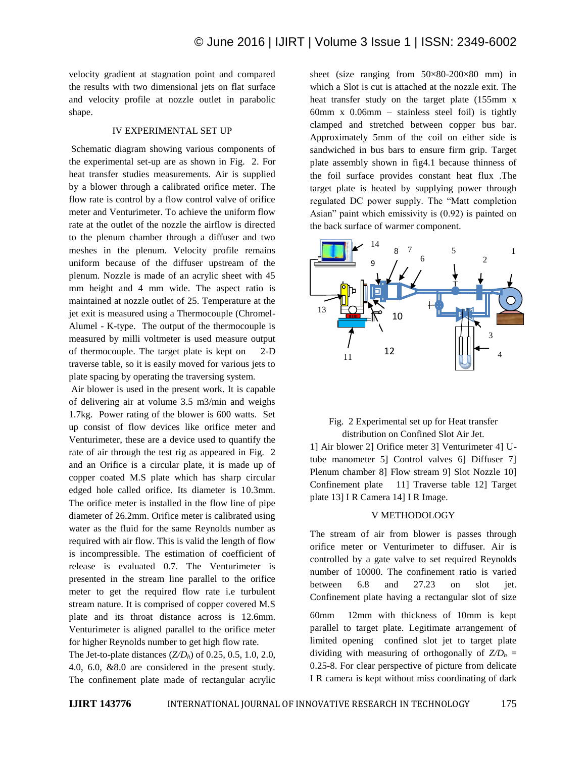velocity gradient at stagnation point and compared the results with two dimensional jets on flat surface and velocity profile at nozzle outlet in parabolic shape.

#### IV EXPERIMENTAL SET UP

Schematic diagram showing various components of the experimental set-up are as shown in Fig. 2. For heat transfer studies measurements. Air is supplied by a blower through a calibrated orifice meter. The flow rate is control by a flow control valve of orifice meter and Venturimeter. To achieve the uniform flow rate at the outlet of the nozzle the airflow is directed to the plenum chamber through a diffuser and two meshes in the plenum. Velocity profile remains uniform because of the diffuser upstream of the plenum. Nozzle is made of an acrylic sheet with 45 mm height and 4 mm wide. The aspect ratio is maintained at nozzle outlet of 25. Temperature at the jet exit is measured using a Thermocouple (Chromel-Alumel - K-type. The output of the thermocouple is measured by milli voltmeter is used measure output of thermocouple. The target plate is kept on 2-D traverse table, so it is easily moved for various jets to plate spacing by operating the traversing system.

Air blower is used in the present work. It is capable of delivering air at volume 3.5 m3/min and weighs 1.7kg. Power rating of the blower is 600 watts. Set up consist of flow devices like orifice meter and Venturimeter, these are a device used to quantify the rate of air through the test rig as appeared in Fig. 2 and an Orifice is a circular plate, it is made up of copper coated M.S plate which has sharp circular edged hole called orifice. Its diameter is 10.3mm. The orifice meter is installed in the flow line of pipe diameter of 26.2mm. Orifice meter is calibrated using water as the fluid for the same Reynolds number as required with air flow. This is valid the length of flow is incompressible. The estimation of coefficient of release is evaluated 0.7. The Venturimeter is presented in the stream line parallel to the orifice meter to get the required flow rate i.e turbulent stream nature. It is comprised of copper covered M.S plate and its throat distance across is 12.6mm. Venturimeter is aligned parallel to the orifice meter for higher Reynolds number to get high flow rate.

The Jet-to-plate distances (*Z/Dh*) of 0.25, 0.5, 1.0, 2.0, 4.0, 6.0, &8.0 are considered in the present study. The confinement plate made of rectangular acrylic sheet (size ranging from 50×80-200×80 mm) in which a Slot is cut is attached at the nozzle exit. The heat transfer study on the target plate (155mm x 60mm x 0.06mm – stainless steel foil) is tightly clamped and stretched between copper bus bar. Approximately 5mm of the coil on either side is sandwiched in bus bars to ensure firm grip. Target plate assembly shown in fig4.1 because thinness of the foil surface provides constant heat flux .The target plate is heated by supplying power through regulated DC power supply. The "Matt completion Asian" paint which emissivity is (0.92) is painted on the back surface of warmer component.



#### Fig. 2 Experimental set up for Heat transfer distribution on Confined Slot Air Jet. *G*

1] Air blower 2] Orifice meter 3] Venturimeter 4] U-*E* tube manometer 5] Control valves 6] Diffuser 7] Plenum chamber 8] Flow stream 9] Slot Nozzle 10] Confinement plate 11] Traverse table 12] Target plate 13] I R Camera 14] I R Image.

#### V METHODOLOGY

The stream of air from blower is passes through orifice meter or Venturimeter to diffuser. Air is controlled by a gate valve to set required Reynolds number of 10000. The confinement ratio is varied between 6.8 and 27.23 on slot jet. Confinement plate having a rectangular slot of size

60mm 12mm with thickness of 10mm is kept parallel to target plate. Legitimate arrangement of limited opening confined slot jet to target plate dividing with measuring of orthogonally of  $Z/D_h =$ 0.25-8. For clear perspective of picture from delicate I R camera is kept without miss coordinating of dark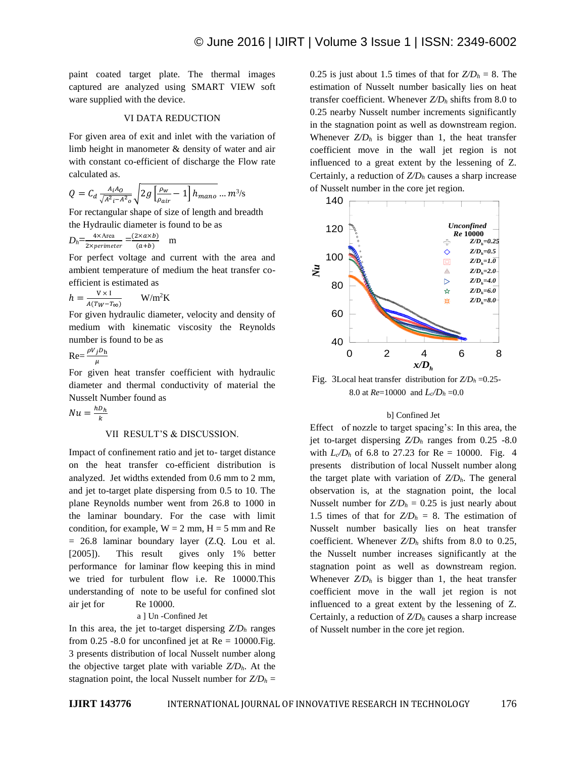paint coated target plate. The thermal images captured are analyzed using SMART VIEW soft ware supplied with the device.

#### VI DATA REDUCTION

For given area of exit and inlet with the variation of limb height in manometer & density of water and air with constant co-efficient of discharge the Flow rate calculated as.

$$
Q = C_d \frac{A_i A_0}{\sqrt{A^2 - A^2} \sigma} \sqrt{2g \left[\frac{\rho_w}{\rho_{air}} - 1\right] h_{mano}} \dots m^{3}/s
$$

For rectangular shape of size of length and breadth the Hydraulic diameter is found to be as

$$
D_h = \frac{4 \times \text{Area}}{2 \times \text{perimeter}} = \frac{(2 \times a \times b)}{(a+b)} \quad \text{m}
$$

For perfect voltage and current with the area and ambient temperature of medium the heat transfer coefficient is estimated as

$$
h = \frac{V \times I}{A(T_W - T_{\infty})}
$$
 W/m<sup>2</sup>K

For given hydraulic diameter, velocity and density of medium with kinematic viscosity the Reynolds number is found to be as

$$
\text{Re} = \frac{\rho V_j D_{\text{h}}}{\mu}
$$

For given heat transfer coefficient with hydraulic diameter and thermal conductivity of material the Nusselt Number found as

 $Nu = \frac{hD_h}{h}$  $\frac{D_h}{k}$ 

#### VII RESULT'S & DISCUSSION.

Impact of confinement ratio and jet to- target distance on the heat transfer co-efficient distribution is analyzed. Jet widths extended from 0.6 mm to 2 mm, and jet to-target plate dispersing from 0.5 to 10. The plane Reynolds number went from 26.8 to 1000 in the laminar boundary. For the case with limit condition, for example,  $W = 2$  mm,  $H = 5$  mm and Re = 26.8 laminar boundary layer (Z.Q. Lou et al. [2005]). This result gives only 1% better performance for laminar flow keeping this in mind we tried for turbulent flow i.e. Re 10000.This understanding of note to be useful for confined slot air jet for Re 10000.

### a ] Un -Confined Jet

In this area, the jet to-target dispersing  $Z/D_h$  ranges from 0.25 -8.0 for unconfined jet at  $Re = 10000$ . Fig. 3 presents distribution of local Nusselt number along the objective target plate with variable *Z/Dh*. At the stagnation point, the local Nusselt number for  $Z/D<sub>h</sub>$  =

0.25 is just about 1.5 times of that for  $Z/D_h = 8$ . The estimation of Nusselt number basically lies on heat transfer coefficient. Whenever *Z/D<sup>h</sup>* shifts from 8.0 to 0.25 nearby Nusselt number increments significantly in the stagnation point as well as downstream region. Whenever  $Z/D_h$  is bigger than 1, the heat transfer coefficient move in the wall jet region is not influenced to a great extent by the lessening of Z. Certainly, a reduction of *Z/D<sup>h</sup>* causes a sharp increase of Nusselt number in the core jet region.



Fig. 3Local heat transfer distribution for *Z/D<sup>h</sup>* =0.25- 8.0 at *Re*=10000 and *Lc/D<sup>h</sup>* =0.0

#### b] Confined Jet

Effect of nozzle to target spacing's: In this area, the jet to-target dispersing *Z/D<sup>h</sup>* ranges from 0.25 -8.0 with  $L_c/D_h$  of 6.8 to 27.23 for Re = 10000. Fig. 4 presents distribution of local Nusselt number along the target plate with variation of *Z/Dh*. The general observation is, at the stagnation point, the local Nusselt number for  $Z/D<sub>h</sub> = 0.25$  is just nearly about 1.5 times of that for  $Z/D<sub>h</sub> = 8$ . The estimation of Nusselt number basically lies on heat transfer coefficient. Whenever  $Z/D_h$  shifts from 8.0 to 0.25, the Nusselt number increases significantly at the stagnation point as well as downstream region. Whenever  $Z/D<sub>h</sub>$  is bigger than 1, the heat transfer coefficient move in the wall jet region is not influenced to a great extent by the lessening of Z. Certainly, a reduction of *Z/D<sup>h</sup>* causes a sharp increase of Nusselt number in the core jet region.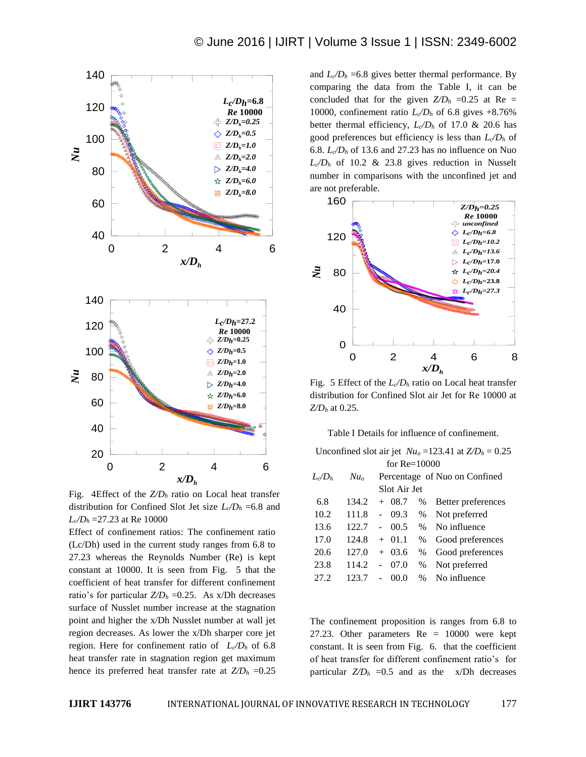

Fig. 4Effect of the *Z/D<sup>h</sup>* ratio on Local heat transfer distribution for Confined Slot Jet size  $L_c/D_h = 6.8$  and *Lc/D<sup>h</sup>* =27.23 at Re 10000

Effect of confinement ratios: The confinement ratio (Lc/Dh) used in the current study ranges from 6.8 to 27.23 whereas the Reynolds Number (Re) is kept constant at 10000. It is seen from Fig. 5 that the coefficient of heat transfer for different confinement ratio's for particular  $Z/D_h = 0.25$ . As x/Dh decreases surface of Nusslet number increase at the stagnation point and higher the x/Dh Nusslet number at wall jet region decreases. As lower the x/Dh sharper core jet region. Here for confinement ratio of  $L_c/D_h$  of 6.8 heat transfer rate in stagnation region get maximum hence its preferred heat transfer rate at  $Z/D_h = 0.25$  and  $L_c/D_h = 6.8$  gives better thermal performance. By comparing the data from the Table I, it can be concluded that for the given  $Z/D_h = 0.25$  at Re = 10000, confinement ratio  $L_c/D_h$  of 6.8 gives +8.76% better thermal efficiency,  $L_{c}/D_{h}$  of 17.0 & 20.6 has good preferences but efficiency is less than *Lc/D<sup>h</sup>* of 6.8.  $L_c/D_h$  of 13.6 and 27.23 has no influence on Nuo  $L_c/D_h$  of 10.2 & 23.8 gives reduction in Nusselt number in comparisons with the unconfined jet and are not preferable.



Fig. 5 Effect of the  $L_{\alpha}/D_h$  ratio on Local heat transfer distribution for Confined Slot air Jet for Re 10000 at *Z/D<sup>h</sup>* at 0.25.

Table I Details for influence of confinement.

Unconfined slot air jet  $Nu_0 = 123.41$  at  $Z/D_h = 0.25$ for Re=10000

| $L/D_h$ | $Nu_{o}$ | Percentage of Nuo on Confined |      |                    |  |
|---------|----------|-------------------------------|------|--------------------|--|
|         |          | Slot Air Jet                  |      |                    |  |
| 6.8     | 134.2    | $+08.7$                       | %    | Better preferences |  |
| 10.2    | 111.8    | 09.3                          | %    | Not preferred      |  |
| 13.6    | 122.7    | 00.5                          |      | % No influence     |  |
| 17.0    | 124.8    | $+$ 01.1                      | %    | Good preferences   |  |
| 20.6    | 127.0    | $+03.6$                       | $\%$ | Good preferences   |  |
| 23.8    | 114.2    | 07.0<br>$\overline{a}$        | $\%$ | Not preferred      |  |
| 27.2    | 123.7    | 00.0                          | $\%$ | No influence       |  |

The confinement proposition is ranges from 6.8 to 27.23. Other parameters Re = 10000 were kept constant. It is seen from Fig. 6. that the coefficient of heat transfer for different confinement ratio's for particular  $Z/D_h$  =0.5 and as the  $x/Dh$  decreases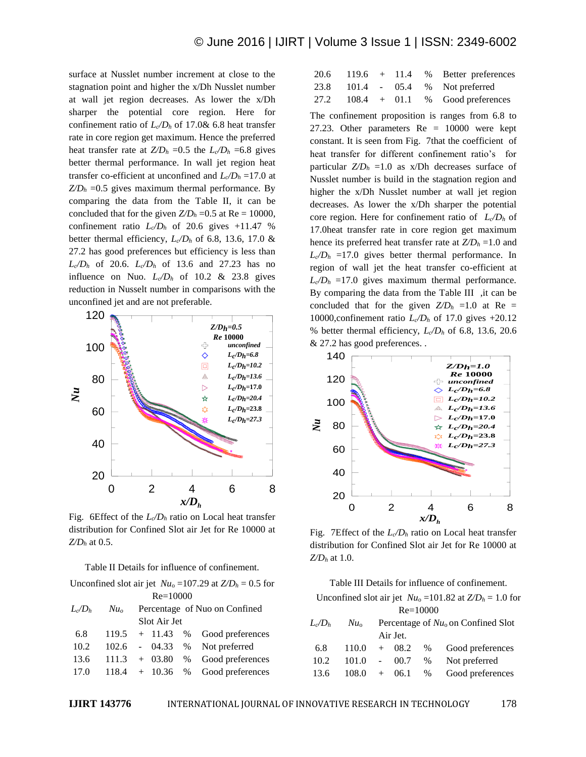surface at Nusslet number increment at close to the stagnation point and higher the x/Dh Nusslet number at wall jet region decreases. As lower the x/Dh sharper the potential core region. Here for confinement ratio of  $L_{\rm c}/D_h$  of 17.0& 6.8 heat transfer rate in core region get maximum. Hence the preferred heat transfer rate at  $Z/D_h = 0.5$  the  $L_c/D_h = 6.8$  gives better thermal performance. In wall jet region heat transfer co-efficient at unconfined and *Lc/D<sup>h</sup>* =17.0 at  $Z/D<sub>h</sub> = 0.5$  gives maximum thermal performance. By comparing the data from the Table II, it can be concluded that for the given  $Z/D_h = 0.5$  at Re = 10000, confinement ratio  $L_c/D_h$  of 20.6 gives +11.47 % better thermal efficiency,  $L_c/D_h$  of 6.8, 13.6, 17.0 & 27.2 has good preferences but efficiency is less than  $L_c/D_h$  of 20.6.  $L_c/D_h$  of 13.6 and 27.23 has no influence on Nuo.  $L_c/D_h$  of 10.2 & 23.8 gives reduction in Nusselt number in comparisons with the unconfined jet and are not preferable.



Fig. 6Effect of the  $L_0/D_h$  ratio on Local heat transfer distribution for Confined Slot air Jet for Re 10000 at *Z/D<sup>h</sup>* at 0.5.

Table II Details for influence of confinement.

Unconfined slot air jet  $Nu_0 = 107.29$  at  $Z/D_h = 0.5$  for Re=10000

| $L_{c}/D_{h}$ | $Nu_{o}$ | Percentage of Nuo on Confined |  |                                             |  |  |
|---------------|----------|-------------------------------|--|---------------------------------------------|--|--|
|               |          | Slot Air Jet                  |  |                                             |  |  |
| 6.8           |          |                               |  | $119.5 + 11.43$ % Good preferences          |  |  |
| 10.2          |          |                               |  | 102.6 - 04.33 % Not preferred               |  |  |
|               |          |                               |  | $13.6$ $111.3$ + 03.80 % Good preferences   |  |  |
|               |          |                               |  | $17.0$ $118.4$ + $10.36$ % Good preferences |  |  |

|  |  | 20.6 119.6 + 11.4 % Better preferences |
|--|--|----------------------------------------|
|  |  | 23.8 101.4 - 05.4 % Not preferred      |
|  |  | $27.2$ 108.4 + 01.1 % Good preferences |

The confinement proposition is ranges from 6.8 to 27.23. Other parameters  $Re = 10000$  were kept constant. It is seen from Fig. 7that the coefficient of heat transfer for different confinement ratio's for particular  $Z/D_h = 1.0$  as x/Dh decreases surface of Nusslet number is build in the stagnation region and higher the x/Dh Nusslet number at wall jet region decreases. As lower the x/Dh sharper the potential core region. Here for confinement ratio of  $L_{\alpha}/D_h$  of 17.0heat transfer rate in core region get maximum hence its preferred heat transfer rate at *Z/D<sup>h</sup>* =1.0 and  $L_c/D_h$  =17.0 gives better thermal performance. In region of wall jet the heat transfer co-efficient at  $L_c/D_h$  =17.0 gives maximum thermal performance. By comparing the data from the Table III ,it can be concluded that for the given  $Z/D_h = 1.0$  at Re = 10000,confinement ratio *Lc/D<sup>h</sup>* of 17.0 gives +20.12 % better thermal efficiency, *Lc/D<sup>h</sup>* of 6.8, 13.6, 20.6 & 27.2 has good preferences. .



Fig. 7Effect of the  $L_0/D_h$  ratio on Local heat transfer distribution for Confined Slot air Jet for Re 10000 at *Z/D<sup>h</sup>* at 1.0.

Table III Details for influence of confinement. Unconfined slot air jet  $Nu_0 = 101.82$  at  $Z/D_h = 1.0$  for Re=10000  $L_0/D_h$  *Nu*<sub>0</sub> Percentage of *Nu*<sub>0</sub> on Confined Slot Air Jet. 6.8 110.0 + 08.2 % Good preferences 10.2 101.0 - 00.7 % Not preferred 13.6 108.0 + 06.1 % Good preferences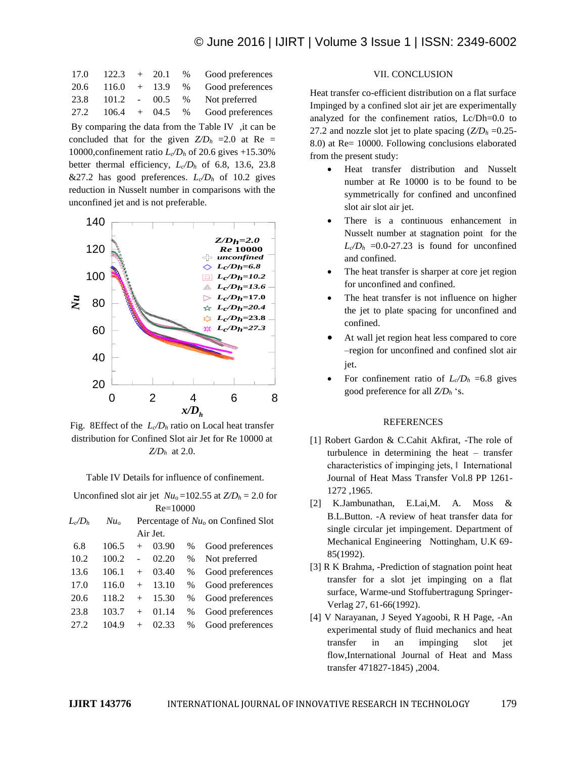# © June 2016 | IJIRT | Volume 3 Issue 1 | ISSN: 2349-6002

| 17.0 | 122.3             | $+$ 20.1 % | Good preferences |
|------|-------------------|------------|------------------|
| 20.6 | $116.0 + 13.9 %$  |            | Good preferences |
| 23.8 | $101.2 - 00.5 %$  |            | Not preferred    |
| 27.2 | $106.4 + 04.5 \%$ |            | Good preferences |

By comparing the data from the Table IV , it can be concluded that for the given  $Z/D_h$  =2.0 at Re = 10000,confinement ratio *Lc/D<sup>h</sup>* of 20.6 gives +15.30% better thermal efficiency,  $L_c/D_h$  of 6.8, 13.6, 23.8  $&27.2$  has good preferences.  $L_c/D_h$  of 10.2 gives reduction in Nusselt number in comparisons with the unconfined jet and is not preferable.



Fig. 8Effect of the  $L_0/D_h$  ratio on Local heat transfer distribution for Confined Slot air Jet for Re 10000 at *Z/D<sup>h</sup>* at 2.0.

Table IV Details for influence of confinement.

| Unconfined slot air jet $Nu_0 = 102.55$ at $Z/D_h = 2.0$ for |          |                                       |       |               |                  |  |  |
|--------------------------------------------------------------|----------|---------------------------------------|-------|---------------|------------------|--|--|
| $Re = 10000$                                                 |          |                                       |       |               |                  |  |  |
| $L_c/D_h$                                                    | $Nu_{0}$ | Percentage of $Nu_0$ on Confined Slot |       |               |                  |  |  |
|                                                              | Air Jet. |                                       |       |               |                  |  |  |
| 6.8                                                          | 106.5    | $^{+}$                                | 03.90 | $\%$          | Good preferences |  |  |
| 10.2                                                         | 100.2    |                                       | 02.20 | $\%$          | Not preferred    |  |  |
| 13.6                                                         | 106.1    | $^{+}$                                | 03.40 | $\frac{0}{0}$ | Good preferences |  |  |
| 17.0                                                         | 116.0    | $^{+}$                                | 13.10 | $\%$          | Good preferences |  |  |
| 20.6                                                         | 118.2    | $^{+}$                                | 15.30 | $\%$          | Good preferences |  |  |
| 23.8                                                         | 103.7    | $^{+}$                                | 01.14 | $\%$          | Good preferences |  |  |
| 27.2                                                         | 104.9    | $^{+}$                                | 02.33 | $\%$          | Good preferences |  |  |
|                                                              |          |                                       |       |               |                  |  |  |

#### VII. CONCLUSION

Heat transfer co-efficient distribution on a flat surface Impinged by a confined slot air jet are experimentally analyzed for the confinement ratios, Lc/Dh=0.0 to 27.2 and nozzle slot jet to plate spacing  $(Z/D<sub>h</sub> = 0.25$ -8.0) at Re= 10000. Following conclusions elaborated from the present study:

- Heat transfer distribution and Nusselt number at Re 10000 is to be found to be symmetrically for confined and unconfined slot air slot air jet.
- There is a continuous enhancement in Nusselt number at stagnation point for the  $L_c/D_h$  =0.0-27.23 is found for unconfined and confined.
- The heat transfer is sharper at core jet region for unconfined and confined.
- The heat transfer is not influence on higher the jet to plate spacing for unconfined and confined.
- At wall jet region heat less compared to core –region for unconfined and confined slot air jet.
- For confinement ratio of  $L_c/D_h = 6.8$  gives good preference for all *Z/D<sup>h</sup>* 's.

#### **REFERENCES**

- [1] Robert Gardon & C.Cahit Akfirat, -The role of turbulence in determining the heat – transfer characteristics of impinging jets, ‖ International Journal of Heat Mass Transfer Vol.8 PP 1261- 1272 ,1965.
- [2] K.Jambunathan, E.Lai,M. A. Moss & B.L.Button. -A review of heat transfer data for single circular jet impingement. Department of Mechanical Engineering Nottingham, U.K 69- 85(1992).
- [3] R K Brahma, -Prediction of stagnation point heat transfer for a slot jet impinging on a flat surface, Warme-und Stoffubertragung Springer-Verlag 27, 61-66(1992).
- [4] V Narayanan, J Seyed Yagoobi, R H Page, -An experimental study of fluid mechanics and heat transfer in an impinging slot jet flow,International Journal of Heat and Mass transfer 471827-1845) ,2004.